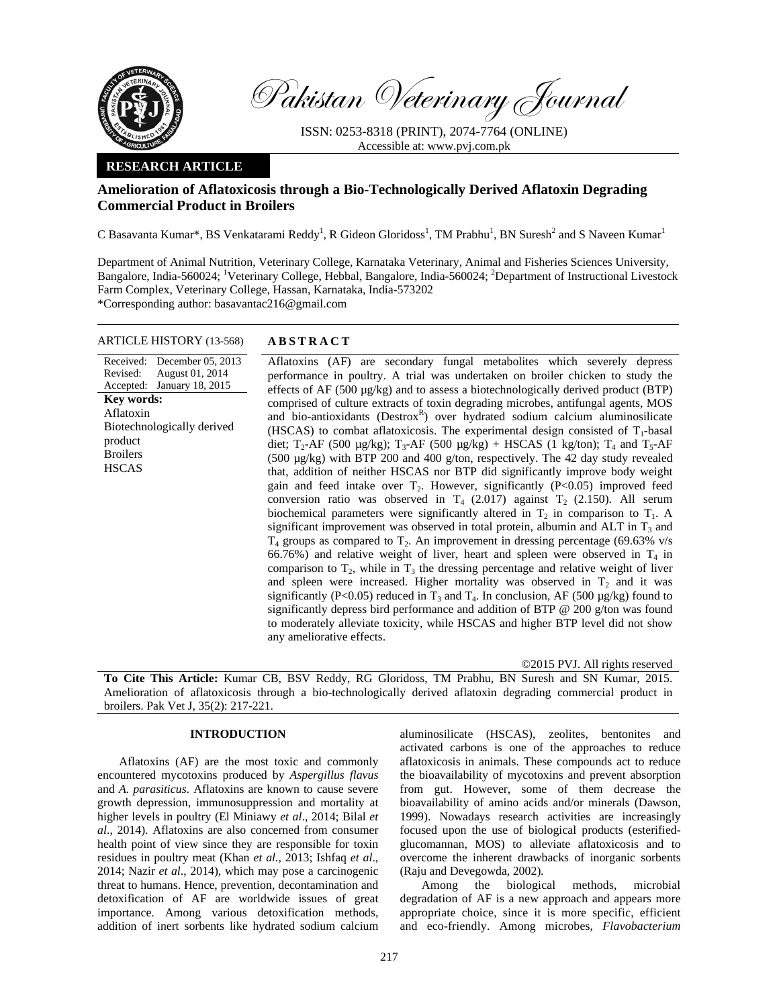

Pakistan Veterinary Journal

ISSN: 0253-8318 (PRINT), 2074-7764 (ONLINE) Accessible at: www.pvj.com.pk

## **RESEARCH ARTICLE**

# **Amelioration of Aflatoxicosis through a Bio-Technologically Derived Aflatoxin Degrading Commercial Product in Broilers**

C Basavanta Kumar\*, BS Venkatarami Reddy<sup>1</sup>, R Gideon Gloridoss<sup>1</sup>, TM Prabhu<sup>1</sup>, BN Suresh<sup>2</sup> and S Naveen Kumar<sup>1</sup>

Department of Animal Nutrition, Veterinary College, Karnataka Veterinary, Animal and Fisheries Sciences University, Bangalore, India-560024; <sup>1</sup>Veterinary College, Hebbal, Bangalore, India-560024; <sup>2</sup>Department of Instructional Livestock Farm Complex, Veterinary College, Hassan, Karnataka, India-573202 \*Corresponding author: basavantac216@gmail.com

## ARTICLE HISTORY (13-568) **ABSTRACT**

Received: December 05, 2013 Revised: Accepted: August 01, 2014 January 18, 2015 **Key words:**  Aflatoxin Biotechnologically derived product Broilers **HSCAS** 

 Aflatoxins (AF) are secondary fungal metabolites which severely depress performance in poultry. A trial was undertaken on broiler chicken to study the effects of AF (500 µg/kg) and to assess a biotechnologically derived product (BTP) comprised of culture extracts of toxin degrading microbes, antifungal agents, MOS and bio-antioxidants (Destrox<sup>R</sup>) over hydrated sodium calcium aluminosilicate (HSCAS) to combat aflatoxicosis. The experimental design consisted of  $T_1$ -basal diet;  $T_2$ -AF (500 µg/kg);  $T_3$ -AF (500 µg/kg) + HSCAS (1 kg/ton);  $T_4$  and  $T_5$ -AF (500 µg/kg) with BTP 200 and 400 g/ton, respectively. The 42 day study revealed that, addition of neither HSCAS nor BTP did significantly improve body weight gain and feed intake over  $T_2$ . However, significantly ( $P<0.05$ ) improved feed conversion ratio was observed in  $T_4$  (2.017) against  $T_2$  (2.150). All serum biochemical parameters were significantly altered in  $T_2$  in comparison to  $T_1$ . A significant improvement was observed in total protein, albumin and ALT in  $T_3$  and  $T_4$  groups as compared to  $T_2$ . An improvement in dressing percentage (69.63% v/s 66.76%) and relative weight of liver, heart and spleen were observed in  $T_4$  in comparison to  $T_2$ , while in  $T_3$  the dressing percentage and relative weight of liver and spleen were increased. Higher mortality was observed in  $T_2$  and it was significantly (P<0.05) reduced in  $T_3$  and  $T_4$ . In conclusion, AF (500 µg/kg) found to significantly depress bird performance and addition of BTP @ 200 g/ton was found to moderately alleviate toxicity, while HSCAS and higher BTP level did not show any ameliorative effects.

©2015 PVJ. All rights reserved

**To Cite This Article:** Kumar CB, BSV Reddy, RG Gloridoss, TM Prabhu, BN Suresh and SN Kumar, 2015. Amelioration of aflatoxicosis through a bio-technologically derived aflatoxin degrading commercial product in broilers. Pak Vet J, 35(2): 217-221.

## **INTRODUCTION**

Aflatoxins (AF) are the most toxic and commonly encountered mycotoxins produced by *Aspergillus flavus*  and *A. parasiticus*. Aflatoxins are known to cause severe growth depression, immunosuppression and mortality at higher levels in poultry (El Miniawy *et al*., 2014; Bilal *et al*., 2014). Aflatoxins are also concerned from consumer health point of view since they are responsible for toxin residues in poultry meat (Khan *et al.,* 2013; Ishfaq *et al*., 2014; Nazir *et al*., 2014), which may pose a carcinogenic threat to humans. Hence, prevention, decontamination and detoxification of AF are worldwide issues of great importance. Among various detoxification methods, addition of inert sorbents like hydrated sodium calcium

aluminosilicate (HSCAS), zeolites, bentonites and activated carbons is one of the approaches to reduce aflatoxicosis in animals. These compounds act to reduce the bioavailability of mycotoxins and prevent absorption from gut. However, some of them decrease the bioavailability of amino acids and/or minerals (Dawson, 1999). Nowadays research activities are increasingly focused upon the use of biological products (esterifiedglucomannan, MOS) to alleviate aflatoxicosis and to overcome the inherent drawbacks of inorganic sorbents (Raju and Devegowda, 2002).

Among the biological methods, microbial degradation of AF is a new approach and appears more appropriate choice, since it is more specific, efficient and eco-friendly. Among microbes, *Flavobacterium*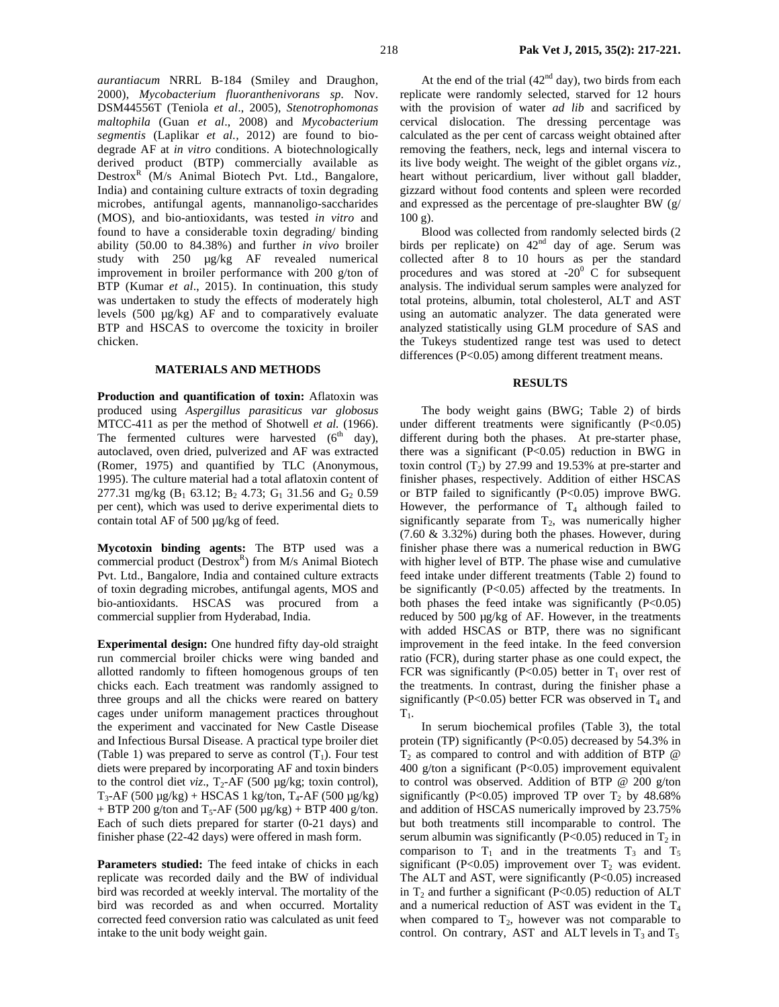*aurantiacum* NRRL B-184 (Smiley and Draughon*,* 2000), *Mycobacterium fluoranthenivorans sp.* Nov. DSM44556T (Teniola *et al*., 2005), *Stenotrophomonas maltophila* (Guan *et al*., 2008) and *Mycobacterium segmentis* (Laplikar *et al.,* 2012) are found to biodegrade AF at *in vitro* conditions. A biotechnologically derived product (BTP) commercially available as Destrox<sup>R</sup> (M/s Animal Biotech Pvt. Ltd., Bangalore, India) and containing culture extracts of toxin degrading microbes, antifungal agents, mannanoligo-saccharides (MOS), and bio-antioxidants, was tested *in vitro* and found to have a considerable toxin degrading/ binding ability (50.00 to 84.38%) and further *in vivo* broiler study with 250 µg/kg AF revealed numerical improvement in broiler performance with 200 g/ton of BTP (Kumar *et al*., 2015). In continuation, this study was undertaken to study the effects of moderately high levels (500 µg/kg) AF and to comparatively evaluate BTP and HSCAS to overcome the toxicity in broiler chicken.

#### **MATERIALS AND METHODS**

**Production and quantification of toxin:** Aflatoxin was produced using *Aspergillus parasiticus var globosus*  MTCC-411 as per the method of Shotwell *et al.* (1966). The fermented cultures were harvested  $(6<sup>th</sup> \, day)$ , autoclaved, oven dried, pulverized and AF was extracted (Romer, 1975) and quantified by TLC (Anonymous, 1995). The culture material had a total aflatoxin content of 277.31 mg/kg ( $B_1$  63.12;  $B_2$  4.73;  $G_1$  31.56 and  $G_2$  0.59 per cent), which was used to derive experimental diets to contain total AF of 500 µg/kg of feed.

**Mycotoxin binding agents:** The BTP used was a commercial product ( $Destrox<sup>R</sup>$ ) from M/s Animal Biotech Pvt. Ltd., Bangalore, India and contained culture extracts of toxin degrading microbes, antifungal agents, MOS and bio-antioxidants. HSCAS was procured from a commercial supplier from Hyderabad, India.

**Experimental design:** One hundred fifty day-old straight run commercial broiler chicks were wing banded and allotted randomly to fifteen homogenous groups of ten chicks each. Each treatment was randomly assigned to three groups and all the chicks were reared on battery cages under uniform management practices throughout the experiment and vaccinated for New Castle Disease and Infectious Bursal Disease. A practical type broiler diet (Table 1) was prepared to serve as control  $(T_1)$ . Four test diets were prepared by incorporating AF and toxin binders to the control diet  $viz.$ ,  $T_2$ -AF (500  $\mu$ g/kg; toxin control),  $T_3$ -AF (500 µg/kg) + HSCAS 1 kg/ton,  $T_4$ -AF (500 µg/kg) + BTP 200 g/ton and  $T_5$ -AF (500  $\mu$ g/kg) + BTP 400 g/ton. Each of such diets prepared for starter (0-21 days) and finisher phase (22-42 days) were offered in mash form.

**Parameters studied:** The feed intake of chicks in each replicate was recorded daily and the BW of individual bird was recorded at weekly interval. The mortality of the bird was recorded as and when occurred. Mortality corrected feed conversion ratio was calculated as unit feed intake to the unit body weight gain.

At the end of the trial  $(42<sup>nd</sup> day)$ , two birds from each replicate were randomly selected, starved for 12 hours with the provision of water *ad lib* and sacrificed by cervical dislocation. The dressing percentage was calculated as the per cent of carcass weight obtained after removing the feathers, neck, legs and internal viscera to its live body weight. The weight of the giblet organs *viz.,*  heart without pericardium, liver without gall bladder, gizzard without food contents and spleen were recorded and expressed as the percentage of pre-slaughter BW (g/ 100 g).

Blood was collected from randomly selected birds (2 birds per replicate) on 42<sup>nd</sup> day of age. Serum was collected after 8 to 10 hours as per the standard procedures and was stored at  $-20^0$  C for subsequent analysis. The individual serum samples were analyzed for total proteins, albumin, total cholesterol, ALT and AST using an automatic analyzer. The data generated were analyzed statistically using GLM procedure of SAS and the Tukeys studentized range test was used to detect differences (P<0.05) among different treatment means.

#### **RESULTS**

The body weight gains (BWG; Table 2) of birds under different treatments were significantly  $(P<0.05)$ different during both the phases. At pre-starter phase, there was a significant  $(P<0.05)$  reduction in BWG in toxin control  $(T_2)$  by 27.99 and 19.53% at pre-starter and finisher phases, respectively. Addition of either HSCAS or BTP failed to significantly (P<0.05) improve BWG. However, the performance of  $T_4$  although failed to significantly separate from  $T_2$ , was numerically higher (7.60 & 3.32%) during both the phases. However, during finisher phase there was a numerical reduction in BWG with higher level of BTP. The phase wise and cumulative feed intake under different treatments (Table 2) found to be significantly  $(P<0.05)$  affected by the treatments. In both phases the feed intake was significantly  $(P<0.05)$ reduced by 500 µg/kg of AF. However, in the treatments with added HSCAS or BTP, there was no significant improvement in the feed intake. In the feed conversion ratio (FCR), during starter phase as one could expect, the FCR was significantly (P<0.05) better in  $T_1$  over rest of the treatments. In contrast, during the finisher phase a significantly (P<0.05) better FCR was observed in  $T_4$  and  $T_{1}$ .

In serum biochemical profiles (Table 3), the total protein (TP) significantly (P<0.05) decreased by 54.3% in  $T_2$  as compared to control and with addition of BTP  $@$ 400 g/ton a significant (P<0.05) improvement equivalent to control was observed. Addition of BTP @ 200 g/ton significantly (P<0.05) improved TP over  $T_2$  by 48.68% and addition of HSCAS numerically improved by 23.75% but both treatments still incomparable to control. The serum albumin was significantly (P<0.05) reduced in  $T_2$  in comparison to  $T_1$  and in the treatments  $T_3$  and  $T_5$ significant (P<0.05) improvement over  $T_2$  was evident. The ALT and AST, were significantly  $(P<0.05)$  increased in  $T_2$  and further a significant (P<0.05) reduction of ALT and a numerical reduction of AST was evident in the  $T_4$ when compared to  $T_2$ , however was not comparable to control. On contrary, AST and ALT levels in  $T_3$  and  $T_5$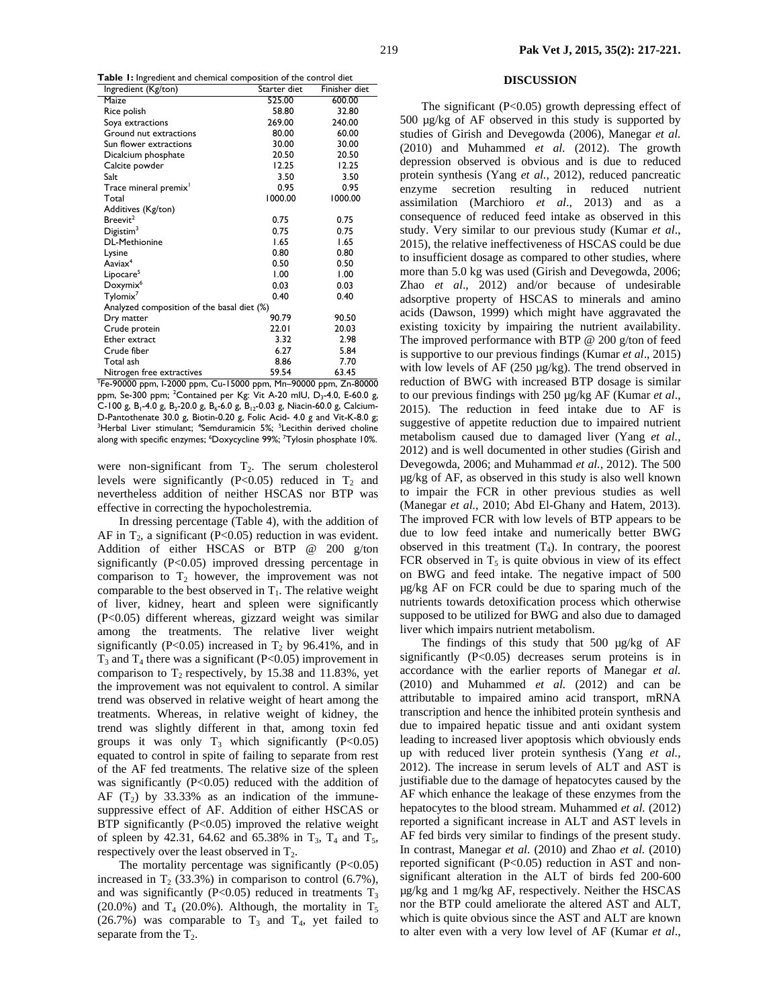| Sie is my calcule and chemical composition of the control dict<br>Ingredient (Kg/ton) | Starter diet | Finisher diet |  |  |  |  |
|---------------------------------------------------------------------------------------|--------------|---------------|--|--|--|--|
| Maize                                                                                 | 525.00       | 600.00        |  |  |  |  |
| Rice polish                                                                           | 58.80        | 32.80         |  |  |  |  |
| Soya extractions                                                                      | 269.00       | 240.00        |  |  |  |  |
| Ground nut extractions                                                                | 80.00        | 60.00         |  |  |  |  |
| Sun flower extractions                                                                | 30.00        | 30.00         |  |  |  |  |
| Dicalcium phosphate                                                                   | 20.50        | 20.50         |  |  |  |  |
| Calcite powder                                                                        | 12.25        | 12.25         |  |  |  |  |
| <b>Salt</b>                                                                           | 3.50         | 3.50          |  |  |  |  |
| Trace mineral premix <sup>1</sup>                                                     | 0.95         | 0.95          |  |  |  |  |
| Total                                                                                 | 1000.00      | 1000.00       |  |  |  |  |
| Additives (Kg/ton)                                                                    |              |               |  |  |  |  |
| Breevit <sup>2</sup>                                                                  | 0.75         | 0.75          |  |  |  |  |
| Digitsim <sup>3</sup>                                                                 | 0.75         | 0.75          |  |  |  |  |
| DL-Methionine                                                                         | 1.65         | 1.65          |  |  |  |  |
| Lysine                                                                                | 0.80         | 0.80          |  |  |  |  |
| Aaviax <sup>4</sup>                                                                   | 0.50         | 0.50          |  |  |  |  |
| Lipocare <sup>5</sup>                                                                 | 1.00         | 1.00          |  |  |  |  |
| Doxymix <sup>6</sup>                                                                  | 0.03         | 0.03          |  |  |  |  |
| Tylomix <sup>7</sup>                                                                  | 0.40         | 0.40          |  |  |  |  |
| Analyzed composition of the basal diet (%)                                            |              |               |  |  |  |  |
| Dry matter                                                                            | 90.79        | 90.50         |  |  |  |  |
| Crude protein                                                                         | 22.01        | 20.03         |  |  |  |  |
| Ether extract                                                                         | 3.32         | 2.98          |  |  |  |  |
| Crude fiber                                                                           | 6.27         | 5.84          |  |  |  |  |
| Total ash                                                                             | 8.86         | 7.70          |  |  |  |  |
| Nitrogen free extractives                                                             | 59.54        | 63.45         |  |  |  |  |

1 Fe-90000 ppm, I-2000 ppm, Cu-15000 ppm, Mn–90000 ppm, Zn-80000 ppm, Se-300 ppm; <sup>2</sup>Contained per Kg: Vit A-20 mIU, D<sub>3</sub>-4.0, E-60.0 g, C-100 g, B<sub>1</sub>-4.0 g, B<sub>2</sub>-20.0 g, B<sub>6</sub>-6.0 g, B<sub>12</sub>-0.03 g, Niacin-60.0 g, Calcium-D-Pantothenate 30.0 g, Biotin-0.20 g, Folic Acid- 4.0 g and Vit-K-8.0 g; <sup>3</sup>Herbal Liver stimulant; <sup>4</sup>Semduramicin 5%; <sup>5</sup>Lecithin derived choline along with specific enzymes; <sup>6</sup>Doxycycline 99%; <sup>7</sup>Tylosin phosphate 10%.

were non-significant from  $T_2$ . The serum cholesterol levels were significantly (P<0.05) reduced in  $T_2$  and nevertheless addition of neither HSCAS nor BTP was effective in correcting the hypocholestremia.

In dressing percentage (Table 4), with the addition of AF in  $T_2$ , a significant (P<0.05) reduction in was evident. Addition of either HSCAS or BTP @ 200 g/ton significantly (P<0.05) improved dressing percentage in comparison to  $T_2$  however, the improvement was not comparable to the best observed in  $T_1$ . The relative weight of liver, kidney, heart and spleen were significantly (P<0.05) different whereas, gizzard weight was similar among the treatments. The relative liver weight significantly (P<0.05) increased in  $T_2$  by 96.41%, and in  $T_3$  and  $T_4$  there was a significant (P<0.05) improvement in comparison to  $T_2$  respectively, by 15.38 and 11.83%, yet the improvement was not equivalent to control. A similar trend was observed in relative weight of heart among the treatments. Whereas, in relative weight of kidney, the trend was slightly different in that, among toxin fed groups it was only  $T_3$  which significantly (P<0.05) equated to control in spite of failing to separate from rest of the AF fed treatments. The relative size of the spleen was significantly (P<0.05) reduced with the addition of AF  $(T_2)$  by 33.33% as an indication of the immunesuppressive effect of AF. Addition of either HSCAS or BTP significantly  $(P<0.05)$  improved the relative weight of spleen by 42.31, 64.62 and 65.38% in  $T_3$ ,  $T_4$  and  $T_5$ , respectively over the least observed in  $T_2$ .

The mortality percentage was significantly  $(P<0.05)$ increased in  $T_2$  (33.3%) in comparison to control (6.7%), and was significantly (P<0.05) reduced in treatments  $T_3$ (20.0%) and  $T_4$  (20.0%). Although, the mortality in  $T_5$ (26.7%) was comparable to  $T_3$  and  $T_4$ , yet failed to separate from the  $T_2$ .

## **DISCUSSION**

The significant  $(P<0.05)$  growth depressing effect of 500 µg/kg of AF observed in this study is supported by studies of Girish and Devegowda (2006), Manegar *et al.* (2010) and Muhammed *et al.* (2012). The growth depression observed is obvious and is due to reduced protein synthesis (Yang *et al.,* 2012), reduced pancreatic enzyme secretion resulting in reduced nutrient assimilation (Marchioro *et al*., 2013) and as a consequence of reduced feed intake as observed in this study. Very similar to our previous study (Kumar *et al*., 2015), the relative ineffectiveness of HSCAS could be due to insufficient dosage as compared to other studies, where more than 5.0 kg was used (Girish and Devegowda, 2006; Zhao *et al*., 2012) and/or because of undesirable adsorptive property of HSCAS to minerals and amino acids (Dawson, 1999) which might have aggravated the existing toxicity by impairing the nutrient availability. The improved performance with BTP @ 200 g/ton of feed is supportive to our previous findings (Kumar *et al*., 2015) with low levels of AF (250 µg/kg). The trend observed in reduction of BWG with increased BTP dosage is similar to our previous findings with 250 µg/kg AF (Kumar *et al*., 2015). The reduction in feed intake due to AF is suggestive of appetite reduction due to impaired nutrient metabolism caused due to damaged liver (Yang *et al.,*  2012) and is well documented in other studies (Girish and Devegowda, 2006; and Muhammad *et al.*, 2012). The 500 µg/kg of AF, as observed in this study is also well known to impair the FCR in other previous studies as well (Manegar *et al.*, 2010; Abd El-Ghany and Hatem, 2013). The improved FCR with low levels of BTP appears to be due to low feed intake and numerically better BWG observed in this treatment  $(T_4)$ . In contrary, the poorest FCR observed in  $T_5$  is quite obvious in view of its effect on BWG and feed intake. The negative impact of 500 µg/kg AF on FCR could be due to sparing much of the nutrients towards detoxification process which otherwise supposed to be utilized for BWG and also due to damaged liver which impairs nutrient metabolism.

The findings of this study that 500  $\mu$ g/kg of AF significantly (P<0.05) decreases serum proteins is in accordance with the earlier reports of Manegar *et al.*  (2010) and Muhammed *et al.* (2012) and can be attributable to impaired amino acid transport, mRNA transcription and hence the inhibited protein synthesis and due to impaired hepatic tissue and anti oxidant system leading to increased liver apoptosis which obviously ends up with reduced liver protein synthesis (Yang *et al.,*  2012). The increase in serum levels of ALT and AST is justifiable due to the damage of hepatocytes caused by the AF which enhance the leakage of these enzymes from the hepatocytes to the blood stream. Muhammed *et al.* (2012) reported a significant increase in ALT and AST levels in AF fed birds very similar to findings of the present study. In contrast, Manegar *et al.* (2010) and Zhao *et al.* (2010) reported significant (P<0.05) reduction in AST and nonsignificant alteration in the ALT of birds fed 200-600 µg/kg and 1 mg/kg AF, respectively. Neither the HSCAS nor the BTP could ameliorate the altered AST and ALT, which is quite obvious since the AST and ALT are known to alter even with a very low level of AF (Kumar *et al*.,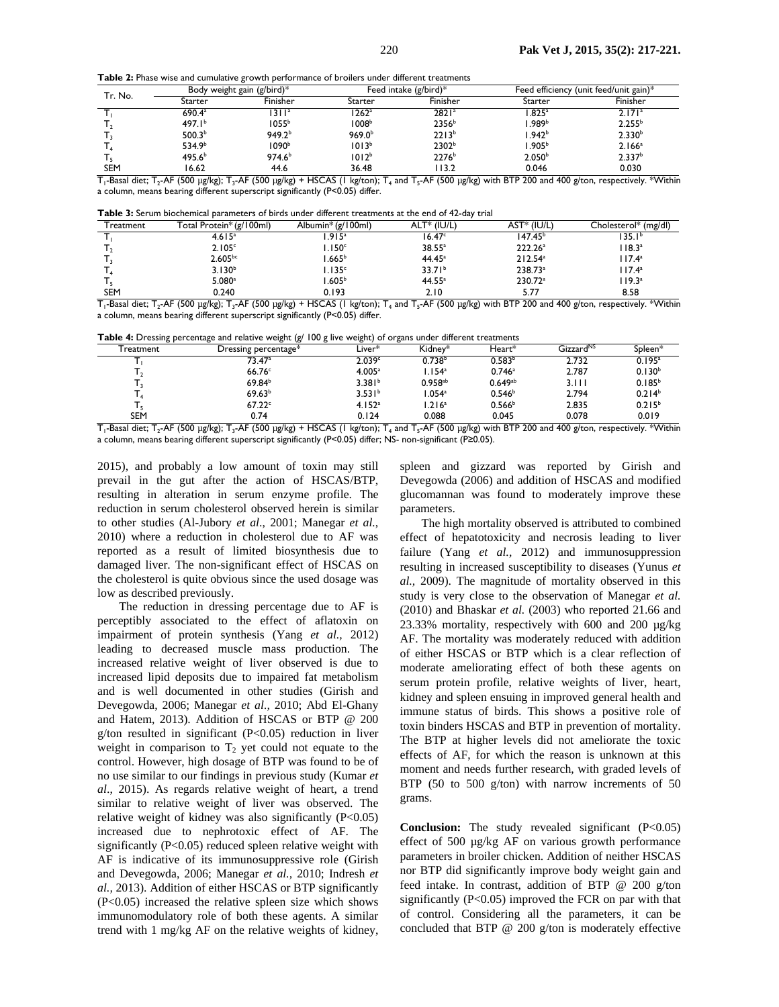**Table 2:** Phase wise and cumulative growth performance of broilers under different treatments

| Tr. No.    | Body weight gain (g/bird)*  |                                                 | Feed intake $(g/bird)*$ |                                                         | Feed efficiency (unit feed/unit gain)*        |                    |
|------------|-----------------------------|-------------------------------------------------|-------------------------|---------------------------------------------------------|-----------------------------------------------|--------------------|
|            | Starter                     | Finisher                                        | Starter                 | Finisher                                                | Starter                                       | Finisher           |
|            | 690.4 <sup>a</sup>          | 311 <sup>a</sup>                                | $1262$ <sup>a</sup>     | 2821 <sup>a</sup>                                       | .825 <sup>a</sup>                             | $2.171^a$          |
|            | 497.1 <sup>b</sup>          | 1055 <sup>b</sup>                               | 1008 <sup>b</sup>       | 2356 <sup>b</sup>                                       | .989b                                         | 2.255 <sup>b</sup> |
|            | 500.3 <sup>b</sup>          | 949.2 <sup>b</sup>                              | 969.0 <sup>b</sup>      | 2213 <sup>b</sup>                                       | l.942 <sup>b</sup>                            | 2.330 <sup>b</sup> |
|            | 534.9 <sup>b</sup>          | 1090 <sup>b</sup>                               | 1013 <sup>b</sup>       | 2302 <sup>b</sup>                                       | 905 <sup>b</sup> ،،                           | 2.166 <sup>a</sup> |
|            | 495.6 <sup>b</sup>          | 974.6 <sup>b</sup>                              | 1012 <sup>b</sup>       | $2276^b$                                                | 2.050 <sup>b</sup>                            | 2.337 <sup>b</sup> |
| SEM<br>_ _ | 16.62<br>- -- ---<br>$\sim$ | 44.6<br>$\cdot$ $\cdot$ $\cdot$ $\cdot$ $\cdot$ | 36.48                   | 13.2<br>$\cdot$ $ \cdot$ $ \cdot$<br>$\sim$<br>$\cdots$ | 0.046<br>$\cdots$<br>$\overline{\phantom{a}}$ | 0.030              |

 $T_1$ -Basal diet;  $T_2$ -AF (500 µg/kg); T<sub>3</sub>-AF (500 µg/kg) + HSCAS (1 kg/ton); T<sub>4</sub> and  $T_5$ -AF (500 µg/kg) with BTP 200 and 400 g/ton, respectively. \*Within a column, means bearing different superscript significantly (P<0.05) differ.

**Table 3:** Serum biochemical parameters of birds under different treatments at the end of 42-day trial

| Freatment  | Total Protein* (g/100ml) | Albumin* (g/100ml) | $ALT^* (IU/L)$     | $AST* (IU/L)$       | Cholesterol* (mg/dl) |
|------------|--------------------------|--------------------|--------------------|---------------------|----------------------|
|            | 4.615 <sup>a</sup>       | .915 <sup>a</sup>  | 16.47 <sup>c</sup> | 147.45 <sup>b</sup> | ا 35.1°،             |
|            | 2.105c                   | .150 <sup>c</sup>  | $38.55^a$          | 222.26 <sup>a</sup> | $118.3^a$            |
|            | $2.605^{bc}$             | $1.665^b$          | $44.45^a$          | $212.54^a$          | $117.4^a$            |
|            | $3.130^{b}$              | .135 <sup>c</sup>  | 33.71 <sup>b</sup> | 238.73 <sup>a</sup> | $17.4^a$             |
|            | $5.080$ <sup>a</sup>     | $1.605^b$          | $44.55^a$          | 230.72 <sup>a</sup> | $119.3^a$            |
| <b>SEM</b> | 0.240                    | 0.193              | 2.10               | 5.77                | 8.58                 |

 $T_1$ -Basal diet;  $T_2$ -AF (500 µg/kg); T<sub>3</sub>-AF (500 µg/kg) + HSCAS (1 kg/ton); T<sub>4</sub> and  $T_5$ -AF (500 µg/kg) with BTP 200 and 400 g/ton, respectively. \*Within a column, means bearing different superscript significantly (P<0.05) differ.

**Table 4:** Dressing percentage and relative weight (g/ 100 g live weight) of organs under different treatments

| $-0.70$    |                      |                    |                    |                    |                       |                    |  |
|------------|----------------------|--------------------|--------------------|--------------------|-----------------------|--------------------|--|
| Treatment  | Dressing percentage* | Liver*             | Kidnev*            | Heart*             | Gizzard <sup>NS</sup> | Spleen*            |  |
|            | 73.47ª               | 2.039c             | 0.738 <sup>b</sup> | 0.583 <sup>b</sup> | 2.732                 | $0.195^a$          |  |
|            | 66.76 <sup>c</sup>   | 4.005 <sup>a</sup> | .154 <sup>a</sup>  | $0.746^a$          | 2.787                 | $0.130^{b}$        |  |
|            | 69.84 <sup>b</sup>   | 3.381 <sup>b</sup> | $0.958^{ab}$       | $0.649^{ab}$       | 3.111                 | $0.185^{b}$        |  |
|            | 69.63 <sup>b</sup>   | 3.531 <sup>b</sup> | $1.054^a$          | 0.546 <sup>b</sup> | 2.794                 | 0.214 <sup>b</sup> |  |
|            | 67.22c               | 4.152 <sup>a</sup> | .216 <sup>a</sup>  | 0.566 <sup>b</sup> | 2.835                 | $0.215^{b}$        |  |
| <b>SEM</b> | 0.74                 | 0.124              | 0.088              | 0.045              | 0.078                 | 0.019              |  |
|            |                      |                    |                    |                    |                       |                    |  |

 $T_1$ -Basal diet;  $T_2$ -AF (500 µg/kg); T<sub>3</sub>-AF (500 µg/kg) + HSCAS (1 kg/ton); T<sub>4</sub> and T<sub>5</sub>-AF (500 µg/kg) with BTP 200 and 400 g/ton, respectively. \*Within a column, means bearing different superscript significantly (P<0.05) differ; NS- non-significant (P≥0.05).

2015), and probably a low amount of toxin may still prevail in the gut after the action of HSCAS/BTP, resulting in alteration in serum enzyme profile. The reduction in serum cholesterol observed herein is similar to other studies (Al-Jubory *et al*., 2001; Manegar *et al.*, 2010) where a reduction in cholesterol due to AF was reported as a result of limited biosynthesis due to damaged liver. The non-significant effect of HSCAS on the cholesterol is quite obvious since the used dosage was low as described previously.

The reduction in dressing percentage due to AF is perceptibly associated to the effect of aflatoxin on impairment of protein synthesis (Yang *et al.,* 2012) leading to decreased muscle mass production. The increased relative weight of liver observed is due to increased lipid deposits due to impaired fat metabolism and is well documented in other studies (Girish and Devegowda, 2006; Manegar *et al.,* 2010; Abd El-Ghany and Hatem, 2013). Addition of HSCAS or BTP @ 200 g/ton resulted in significant  $(P<0.05)$  reduction in liver weight in comparison to  $T_2$  yet could not equate to the control. However, high dosage of BTP was found to be of no use similar to our findings in previous study (Kumar *et al*., 2015). As regards relative weight of heart, a trend similar to relative weight of liver was observed. The relative weight of kidney was also significantly (P<0.05) increased due to nephrotoxic effect of AF. The significantly (P<0.05) reduced spleen relative weight with AF is indicative of its immunosuppressive role (Girish and Devegowda, 2006; Manegar *et al.,* 2010; Indresh *et al.,* 2013). Addition of either HSCAS or BTP significantly (P<0.05) increased the relative spleen size which shows immunomodulatory role of both these agents. A similar trend with 1 mg/kg AF on the relative weights of kidney,

spleen and gizzard was reported by Girish and Devegowda (2006) and addition of HSCAS and modified glucomannan was found to moderately improve these parameters.

The high mortality observed is attributed to combined effect of hepatotoxicity and necrosis leading to liver failure (Yang *et al.,* 2012) and immunosuppression resulting in increased susceptibility to diseases (Yunus *et al.,* 2009). The magnitude of mortality observed in this study is very close to the observation of Manegar *et al.*  (2010) and Bhaskar *et al.* (2003) who reported 21.66 and 23.33% mortality, respectively with 600 and 200 µg/kg AF. The mortality was moderately reduced with addition of either HSCAS or BTP which is a clear reflection of moderate ameliorating effect of both these agents on serum protein profile, relative weights of liver, heart, kidney and spleen ensuing in improved general health and immune status of birds. This shows a positive role of toxin binders HSCAS and BTP in prevention of mortality. The BTP at higher levels did not ameliorate the toxic effects of AF, for which the reason is unknown at this moment and needs further research, with graded levels of BTP (50 to 500 g/ton) with narrow increments of 50 grams.

**Conclusion:** The study revealed significant (P<0.05) effect of 500 µg/kg AF on various growth performance parameters in broiler chicken. Addition of neither HSCAS nor BTP did significantly improve body weight gain and feed intake. In contrast, addition of BTP @ 200 g/ton significantly (P<0.05) improved the FCR on par with that of control. Considering all the parameters, it can be concluded that BTP @ 200 g/ton is moderately effective